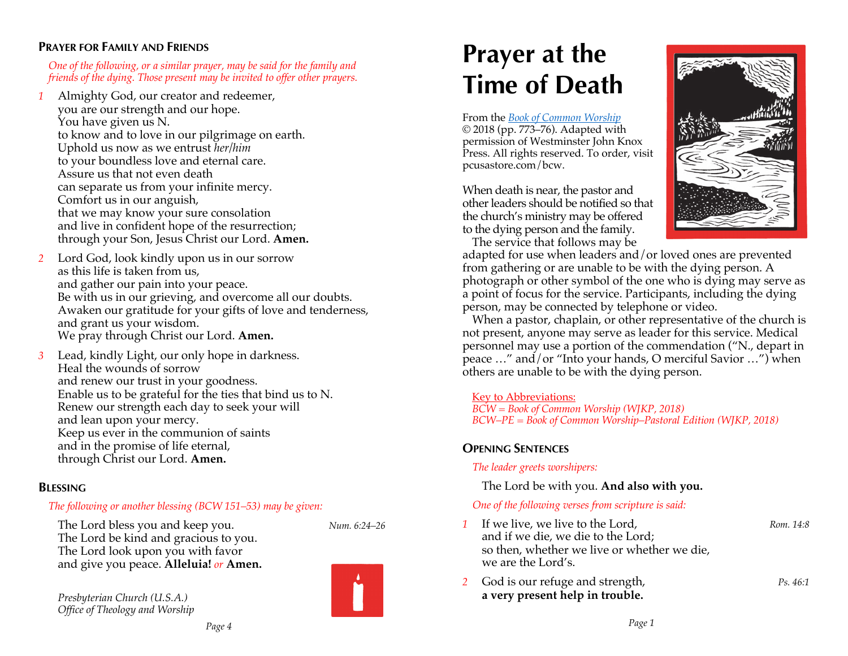## **PRAYER FOR FAMILY AND FRIENDS**

#### *One of the following, or a similar prayer, may be said for the family and friends of the dying. Those present may be invited to offer other prayers.*

*1* Almighty God, our creator and redeemer, you are our strength and our hope. You have given us N. to know and to love in our pilgrimage on earth. Uphold us now as we entrust *her/him* to your boundless love and eternal care. Assure us that not even death can separate us from your infinite mercy. Comfort us in our anguish, that we may know your sure consolation and live in confident hope of the resurrection; through your Son, Jesus Christ our Lord. **Amen.**

- *2* Lord God, look kindly upon us in our sorrow as this life is taken from us, and gather our pain into your peace. Be with us in our grieving, and overcome all our doubts. Awaken our gratitude for your gifts of love and tenderness, and grant us your wisdom. We pray through Christ our Lord. **Amen.**
- *3* Lead, kindly Light, our only hope in darkness. Heal the wounds of sorrow and renew our trust in your goodness. Enable us to be grateful for the ties that bind us to N. Renew our strength each day to seek your will and lean upon your mercy. Keep us ever in the communion of saints and in the promise of life eternal, through Christ our Lord. **Amen.**

# **BLESSING**

## *The following or another blessing (BCW 151–53) may be given:*

The Lord bless you and keep you. *Num. 6:24–26* The Lord be kind and gracious to you. The Lord look upon you with favor and give you peace. **Alleluia!** *or* **Amen.**

*Presbyterian Church (U.S.A.) Office of Theology and Worship* 

# **Prayer at the Time of Death**

From the *Book of Common Worship* © 2018 (pp. 773–76). Adapted with permission of Westminster John Knox Press. All rights reserved. To order, visit pcusastore.com/bcw.

When death is near, the pastor and other leaders should be notified so that the church's ministry may be offered to the dying person and the family. The service that follows may be



adapted for use when leaders and/or loved ones are prevented from gathering or are unable to be with the dying person. A photograph or other symbol of the one who is dying may serve as a point of focus for the service. Participants, including the dying person, may be connected by telephone or video.

When a pastor, chaplain, or other representative of the church is not present, anyone may serve as leader for this service. Medical personnel may use a portion of the commendation ("N., depart in peace …" and/or "Into your hands, O merciful Savior …") when others are unable to be with the dying person.

#### Key to Abbreviations:

*BCW = Book of Common Worship (WJKP, 2018) BCW–PE = Book of Common Worship–Pastoral Edition (WJKP, 2018)*

# **OPENING SENTENCES**

#### *The leader greets worshipers:*

The Lord be with you. **And also with you.**

#### *One of the following verses from scripture is said:*

- *1* If we live, we live to the Lord, *Rom.* 14:8 and if we die, we die to the Lord; so then, whether we live or whether we die, we are the Lord's.
- *2* God is our refuge and strength, *Ps. 46:1* **a very present help in trouble.**